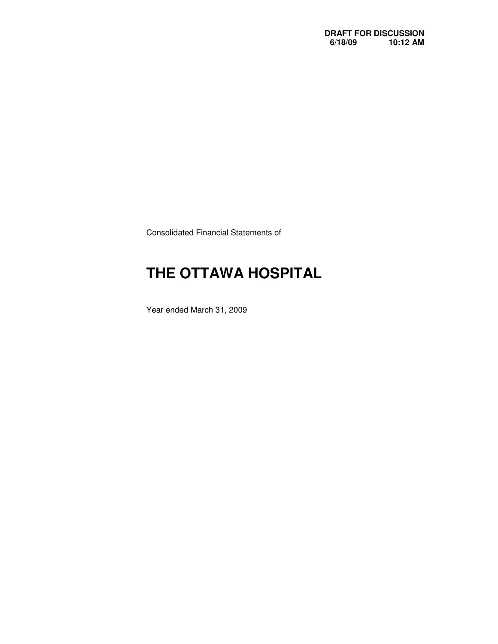Consolidated Financial Statements of

# **THE OTTAWA HOSPITAL**

Year ended March 31, 2009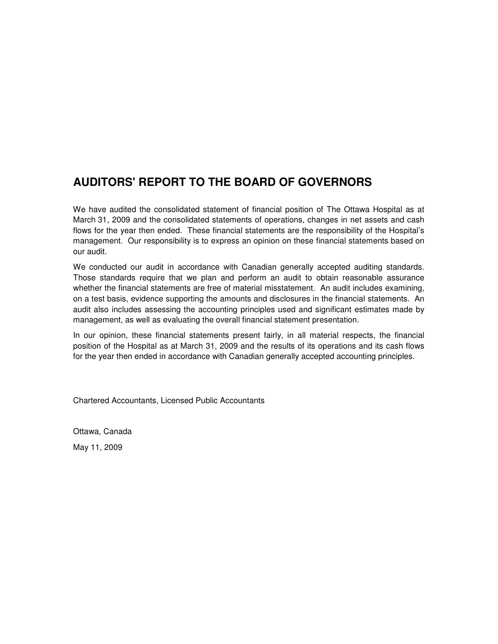### **AUDITORS' REPORT TO THE BOARD OF GOVERNORS**

 We have audited the consolidated statement of financial position of The Ottawa Hospital as at March 31, 2009 and the consolidated statements of operations, changes in net assets and cash flows for the year then ended. These financial statements are the responsibility of the Hospital's management. Our responsibility is to express an opinion on these financial statements based on our audit.

 We conducted our audit in accordance with Canadian generally accepted auditing standards. Those standards require that we plan and perform an audit to obtain reasonable assurance whether the financial statements are free of material misstatement. An audit includes examining, on a test basis, evidence supporting the amounts and disclosures in the financial statements. An audit also includes assessing the accounting principles used and significant estimates made by management, as well as evaluating the overall financial statement presentation.

 In our opinion, these financial statements present fairly, in all material respects, the financial position of the Hospital as at March 31, 2009 and the results of its operations and its cash flows for the year then ended in accordance with Canadian generally accepted accounting principles.

Chartered Accountants, Licensed Public Accountants

 Ottawa, Canada May 11, 2009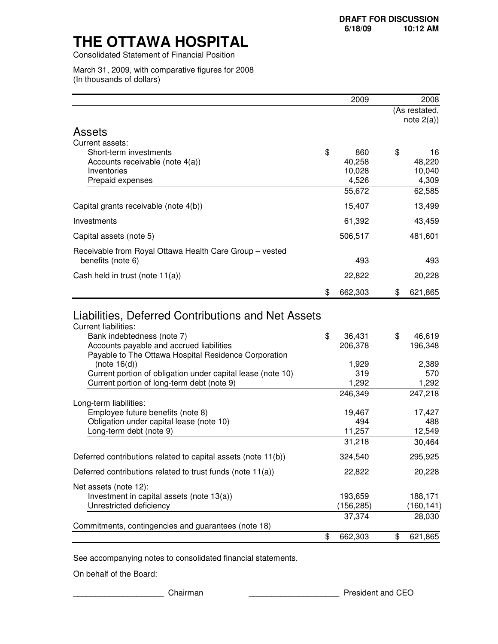Consolidated Statement of Financial Position

 March 31, 2009, with comparative figures for 2008 (In thousands of dollars)

|                                                               | 2009          | 2008                           |
|---------------------------------------------------------------|---------------|--------------------------------|
|                                                               |               | (As restated,<br>note $2(a)$ ) |
| <b>Assets</b>                                                 |               |                                |
| Current assets:                                               |               |                                |
| Short-term investments                                        | \$<br>860     | \$<br>16                       |
| Accounts receivable (note 4(a))                               | 40,258        | 48,220                         |
| Inventories                                                   | 10,028        | 10,040                         |
| Prepaid expenses                                              | 4,526         | 4,309                          |
|                                                               | 55,672        | 62,585                         |
| Capital grants receivable (note 4(b))                         | 15,407        | 13,499                         |
| Investments                                                   | 61,392        | 43,459                         |
| Capital assets (note 5)                                       | 506,517       | 481,601                        |
| Receivable from Royal Ottawa Health Care Group - vested       |               |                                |
| benefits (note 6)                                             | 493           | 493                            |
| Cash held in trust (note 11(a))                               | 22,822        | 20,228                         |
|                                                               | \$<br>662,303 | \$<br>621,865                  |
| <b>Current liabilities:</b><br>Bank indebtedness (note 7)     | \$<br>36,431  | \$<br>46,619                   |
|                                                               |               |                                |
| Accounts payable and accrued liabilities                      | 206,378       | 196,348                        |
| Payable to The Ottawa Hospital Residence Corporation          |               |                                |
| (note 16(d))                                                  | 1,929         | 2,389                          |
| Current portion of obligation under capital lease (note 10)   | 319           | 570                            |
| Current portion of long-term debt (note 9)                    | 1,292         | 1,292                          |
| Long-term liabilities:                                        | 246,349       | 247,218                        |
| Employee future benefits (note 8)                             | 19,467        | 17,427                         |
| Obligation under capital lease (note 10)                      | 494           | 488                            |
| Long-term debt (note 9)                                       | 11,257        | 12,549                         |
|                                                               | 31,218        | 30,464                         |
| Deferred contributions related to capital assets (note 11(b)) | 324,540       | 295,925                        |
| Deferred contributions related to trust funds (note 11(a))    | 22,822        | 20,228                         |
| Net assets (note 12):                                         |               |                                |
| Investment in capital assets (note 13(a))                     | 193,659       | 188,171                        |
| Unrestricted deficiency                                       | (156, 285)    | (160, 141)                     |
| Commitments, contingencies and guarantees (note 18)           | 37,374        | 28,030                         |
|                                                               | \$<br>662,303 | \$<br>621,865                  |

See accompanying notes to consolidated financial statements.

On behalf of the Board:

\_\_\_\_\_\_\_\_\_\_\_\_\_\_\_\_\_\_\_\_ Chairman \_\_\_\_\_\_\_\_\_\_\_\_\_\_\_\_\_\_\_\_ President and CEO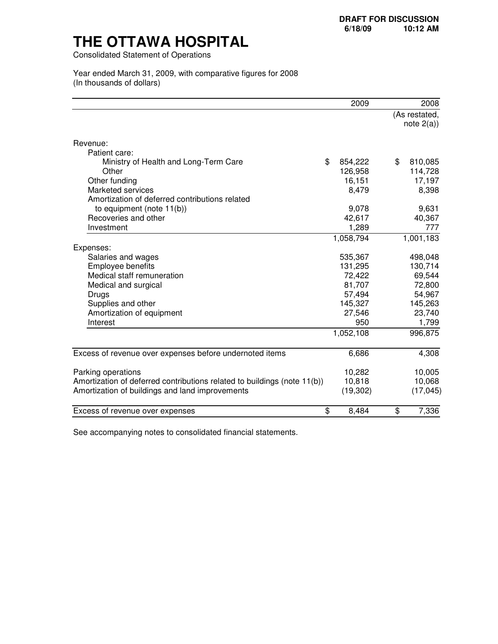Consolidated Statement of Operations

#### Year ended March 31, 2009, with comparative figures for 2008 (In thousands of dollars)

|                                                                          | 2009          | 2008          |
|--------------------------------------------------------------------------|---------------|---------------|
|                                                                          |               | (As restated, |
|                                                                          |               | note $2(a)$ ) |
|                                                                          |               |               |
| Revenue:                                                                 |               |               |
| Patient care:                                                            |               |               |
| Ministry of Health and Long-Term Care                                    | \$<br>854,222 | \$<br>810,085 |
| Other                                                                    | 126,958       | 114,728       |
| Other funding                                                            | 16,151        | 17,197        |
| <b>Marketed services</b>                                                 | 8,479         | 8,398         |
| Amortization of deferred contributions related                           |               |               |
| to equipment (note $11(b)$ )                                             | 9,078         | 9,631         |
| Recoveries and other                                                     | 42,617        | 40,367        |
| Investment                                                               | 1,289         | 777           |
|                                                                          | 1,058,794     | 1,001,183     |
| Expenses:                                                                |               |               |
| Salaries and wages                                                       | 535,367       | 498,048       |
| Employee benefits                                                        | 131,295       | 130,714       |
| Medical staff remuneration                                               | 72,422        | 69,544        |
| Medical and surgical                                                     | 81,707        | 72,800        |
| Drugs                                                                    | 57,494        | 54,967        |
| Supplies and other                                                       | 145,327       | 145,263       |
| Amortization of equipment                                                | 27,546        | 23,740        |
| Interest                                                                 | 950           | 1,799         |
|                                                                          | 1,052,108     | 996,875       |
|                                                                          |               |               |
| Excess of revenue over expenses before undernoted items                  | 6,686         | 4,308         |
|                                                                          |               |               |
| Parking operations                                                       | 10,282        | 10,005        |
| Amortization of deferred contributions related to buildings (note 11(b)) | 10,818        | 10,068        |
| Amortization of buildings and land improvements                          | (19, 302)     | (17, 045)     |
|                                                                          |               |               |
| \$<br>Excess of revenue over expenses                                    | 8,484         | 7,336<br>\$   |

See accompanying notes to consolidated financial statements.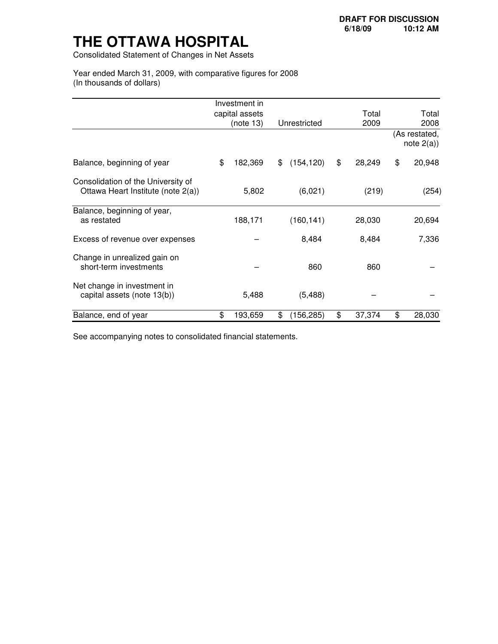Consolidated Statement of Changes in Net Assets

 Year ended March 31, 2009, with comparative figures for 2008 (In thousands of dollars)

|                                                                          | Investment in  |                  |              |                                |
|--------------------------------------------------------------------------|----------------|------------------|--------------|--------------------------------|
|                                                                          | capital assets |                  | Total        | Total                          |
|                                                                          | (note 13)      | Unrestricted     | 2009         | 2008                           |
|                                                                          |                |                  |              | (As restated,<br>note $2(a)$ ) |
| Balance, beginning of year                                               | \$<br>182,369  | \$<br>(154, 120) | \$<br>28,249 | \$<br>20,948                   |
| Consolidation of the University of<br>Ottawa Heart Institute (note 2(a)) | 5,802          | (6,021)          | (219)        | (254)                          |
| Balance, beginning of year,<br>as restated                               | 188,171        | (160, 141)       | 28,030       | 20,694                         |
| Excess of revenue over expenses                                          |                | 8,484            | 8,484        | 7,336                          |
| Change in unrealized gain on<br>short-term investments                   |                | 860              | 860          |                                |
| Net change in investment in<br>capital assets (note 13(b))               | 5,488          | (5, 488)         |              |                                |
| Balance, end of year                                                     | \$<br>193,659  | \$<br>(156, 285) | \$<br>37,374 | \$<br>28,030                   |

See accompanying notes to consolidated financial statements.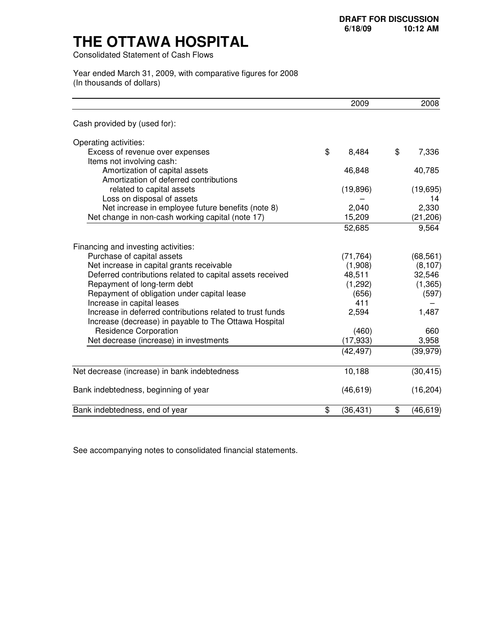Consolidated Statement of Cash Flows

 Year ended March 31, 2009, with comparative figures for 2008 (In thousands of dollars)

|                                                                                                                    | 2009            | 2008            |
|--------------------------------------------------------------------------------------------------------------------|-----------------|-----------------|
| Cash provided by (used for):                                                                                       |                 |                 |
| Operating activities:                                                                                              |                 |                 |
| Excess of revenue over expenses                                                                                    | \$<br>8,484     | \$<br>7,336     |
| Items not involving cash:                                                                                          |                 |                 |
| Amortization of capital assets                                                                                     | 46,848          | 40,785          |
| Amortization of deferred contributions                                                                             |                 |                 |
| related to capital assets                                                                                          | (19, 896)       | (19, 695)       |
| Loss on disposal of assets                                                                                         |                 | 14              |
| Net increase in employee future benefits (note 8)                                                                  | 2,040           | 2,330           |
| Net change in non-cash working capital (note 17)                                                                   | 15,209          | (21, 206)       |
|                                                                                                                    | 52,685          | 9,564           |
| Financing and investing activities:                                                                                |                 |                 |
| Purchase of capital assets                                                                                         | (71, 764)       | (68, 561)       |
| Net increase in capital grants receivable                                                                          | (1,908)         | (8, 107)        |
| Deferred contributions related to capital assets received                                                          | 48,511          | 32,546          |
| Repayment of long-term debt                                                                                        | (1,292)         | (1, 365)        |
| Repayment of obligation under capital lease                                                                        | (656)           | (597)           |
| Increase in capital leases                                                                                         | 411             |                 |
| Increase in deferred contributions related to trust funds<br>Increase (decrease) in payable to The Ottawa Hospital | 2,594           | 1,487           |
| <b>Residence Corporation</b>                                                                                       | (460)           | 660             |
| Net decrease (increase) in investments                                                                             | (17, 933)       | 3,958           |
|                                                                                                                    | (42, 497)       | (39, 979)       |
| Net decrease (increase) in bank indebtedness                                                                       | 10,188          | (30, 415)       |
| Bank indebtedness, beginning of year                                                                               | (46, 619)       | (16, 204)       |
| Bank indebtedness, end of year                                                                                     | \$<br>(36, 431) | \$<br>(46, 619) |

See accompanying notes to consolidated financial statements.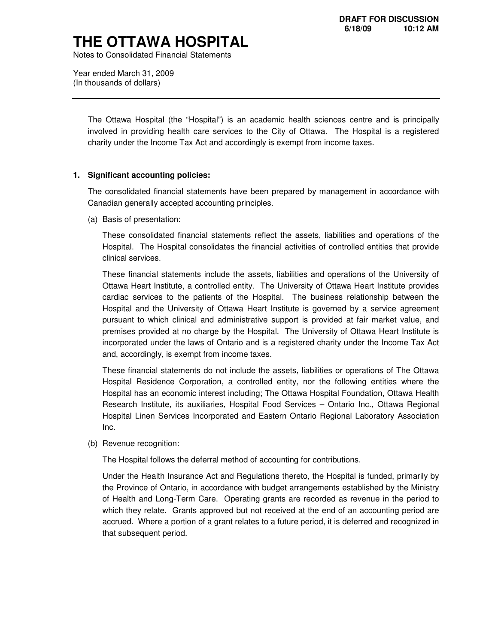Notes to Consolidated Financial Statements

 Year ended March 31, 2009 (In thousands of dollars)

> The Ottawa Hospital (the "Hospital") is an academic health sciences centre and is principally involved in providing health care services to the City of Ottawa. The Hospital is a registered charity under the Income Tax Act and accordingly is exempt from income taxes.

#### **1. Significant accounting policies:**

 The consolidated financial statements have been prepared by management in accordance with Canadian generally accepted accounting principles.

(a) Basis of presentation:

 These consolidated financial statements reflect the assets, liabilities and operations of the Hospital. The Hospital consolidates the financial activities of controlled entities that provide clinical services.

 These financial statements include the assets, liabilities and operations of the University of Ottawa Heart Institute, a controlled entity. The University of Ottawa Heart Institute provides cardiac services to the patients of the Hospital. The business relationship between the Hospital and the University of Ottawa Heart Institute is governed by a service agreement pursuant to which clinical and administrative support is provided at fair market value, and premises provided at no charge by the Hospital. The University of Ottawa Heart Institute is incorporated under the laws of Ontario and is a registered charity under the Income Tax Act and, accordingly, is exempt from income taxes.

 These financial statements do not include the assets, liabilities or operations of The Ottawa Hospital Residence Corporation, a controlled entity, nor the following entities where the Hospital has an economic interest including; The Ottawa Hospital Foundation, Ottawa Health Research Institute, its auxiliaries, Hospital Food Services – Ontario Inc., Ottawa Regional Hospital Linen Services Incorporated and Eastern Ontario Regional Laboratory Association  $Inc.$ 

Inc.<br>(b) Revenue recognition:

The Hospital follows the deferral method of accounting for contributions.

 Under the Health Insurance Act and Regulations thereto, the Hospital is funded, primarily by the Province of Ontario, in accordance with budget arrangements established by the Ministry of Health and Long-Term Care. Operating grants are recorded as revenue in the period to which they relate. Grants approved but not received at the end of an accounting period are accrued. Where a portion of a grant relates to a future period, it is deferred and recognized in that subsequent period.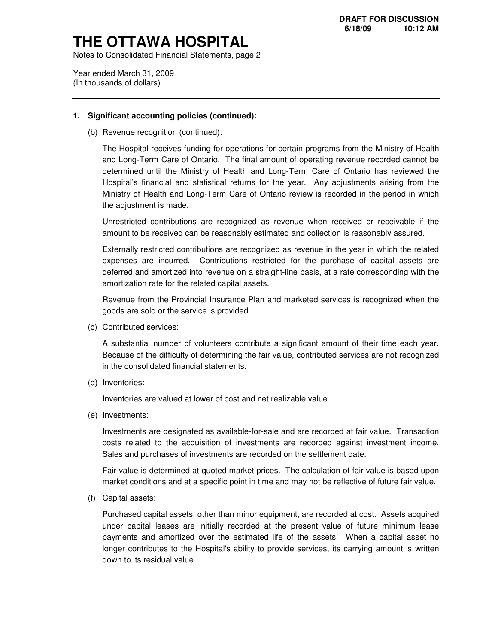Notes to Consolidated Financial Statements, page 2

 Year ended March 31, 2009 (In thousands of dollars)

#### **1. Significant accounting policies (continued):**

(b) Revenue recognition (continued):

 The Hospital receives funding for operations for certain programs from the Ministry of Health and Long-Term Care of Ontario. The final amount of operating revenue recorded cannot be determined until the Ministry of Health and Long-Term Care of Ontario has reviewed the Hospital's financial and statistical returns for the year. Any adjustments arising from the Ministry of Health and Long-Term Care of Ontario review is recorded in the period in which the adjustment is made.

 Unrestricted contributions are recognized as revenue when received or receivable if the amount to be received can be reasonably estimated and collection is reasonably assured.

 Externally restricted contributions are recognized as revenue in the year in which the related expenses are incurred. Contributions restricted for the purchase of capital assets are deferred and amortized into revenue on a straight-line basis, at a rate corresponding with the amortization rate for the related capital assets.

 Revenue from the Provincial Insurance Plan and marketed services is recognized when the goods are sold or the service is provided.

(c) Contributed services:

 A substantial number of volunteers contribute a significant amount of their time each year. Because of the difficulty of determining the fair value, contributed services are not recognized in the consolidated financial statements.

(d) Inventories:

Inventories are valued at lower of cost and net realizable value.

(e) Investments:

 Investments are designated as available-for-sale and are recorded at fair value. Transaction costs related to the acquisition of investments are recorded against investment income. Sales and purchases of investments are recorded on the settlement date.

 Fair value is determined at quoted market prices. The calculation of fair value is based upon market conditions and at a specific point in time and may not be reflective of future fair value.

(f) Capital assets:

 Purchased capital assets, other than minor equipment, are recorded at cost. Assets acquired under capital leases are initially recorded at the present value of future minimum lease payments and amortized over the estimated life of the assets. When a capital asset no longer contributes to the Hospital's ability to provide services, its carrying amount is written down to its residual value.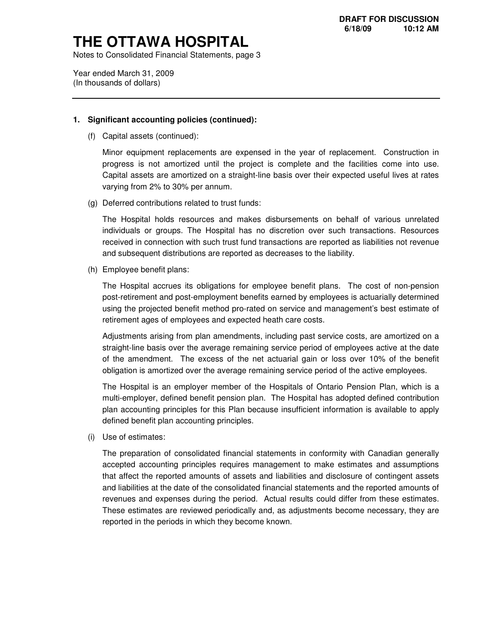Notes to Consolidated Financial Statements, page 3

 Year ended March 31, 2009 (In thousands of dollars)

#### **1. Significant accounting policies (continued):**

(f) Capital assets (continued):

 Minor equipment replacements are expensed in the year of replacement. Construction in progress is not amortized until the project is complete and the facilities come into use. Capital assets are amortized on a straight-line basis over their expected useful lives at rates varying from 2% to 30% per annum.

(g) Deferred contributions related to trust funds:

 The Hospital holds resources and makes disbursements on behalf of various unrelated individuals or groups. The Hospital has no discretion over such transactions. Resources received in connection with such trust fund transactions are reported as liabilities not revenue and subsequent distributions are reported as decreases to the liability.

(h) Employee benefit plans:

 The Hospital accrues its obligations for employee benefit plans. The cost of non-pension post-retirement and post-employment benefits earned by employees is actuarially determined using the projected benefit method pro-rated on service and management's best estimate of retirement ages of employees and expected heath care costs.

 Adjustments arising from plan amendments, including past service costs, are amortized on a straight-line basis over the average remaining service period of employees active at the date of the amendment. The excess of the net actuarial gain or loss over 10% of the benefit obligation is amortized over the average remaining service period of the active employees.

 The Hospital is an employer member of the Hospitals of Ontario Pension Plan, which is a multi-employer, defined benefit pension plan. The Hospital has adopted defined contribution plan accounting principles for this Plan because insufficient information is available to apply defined benefit plan accounting principles.

(i) Use of estimates:

 The preparation of consolidated financial statements in conformity with Canadian generally accepted accounting principles requires management to make estimates and assumptions that affect the reported amounts of assets and liabilities and disclosure of contingent assets and liabilities at the date of the consolidated financial statements and the reported amounts of revenues and expenses during the period. Actual results could differ from these estimates. These estimates are reviewed periodically and, as adjustments become necessary, they are reported in the periods in which they become known.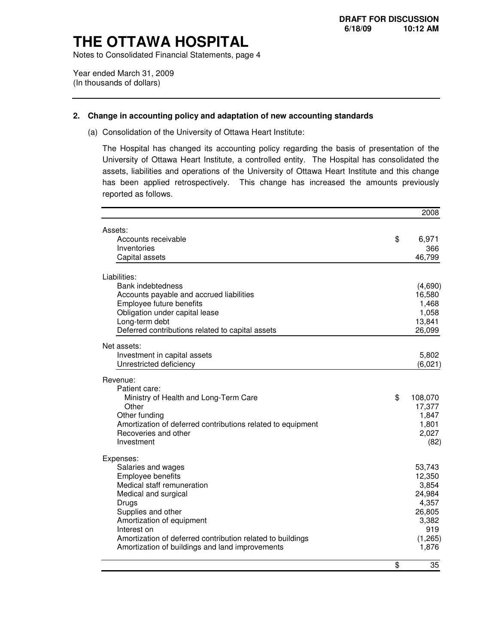Notes to Consolidated Financial Statements, page 4

 Year ended March 31, 2009 (In thousands of dollars)

#### **2. Change in accounting policy and adaptation of new accounting standards**

(a) Consolidation of the University of Ottawa Heart Institute:

 The Hospital has changed its accounting policy regarding the basis of presentation of the University of Ottawa Heart Institute, a controlled entity. The Hospital has consolidated the assets, liabilities and operations of the University of Ottawa Heart Institute and this change has been applied retrospectively. This change has increased the amounts previously reported as follows.

|                                                             | 2008            |
|-------------------------------------------------------------|-----------------|
| Assets:                                                     |                 |
| Accounts receivable                                         | \$<br>6,971     |
| Inventories                                                 | 366             |
| Capital assets                                              | 46,799          |
| Liabilities:                                                |                 |
| <b>Bank indebtedness</b>                                    | (4,690)         |
| Accounts payable and accrued liabilities                    | 16,580          |
| Employee future benefits                                    | 1,468           |
| Obligation under capital lease                              | 1,058           |
| Long-term debt                                              | 13,841          |
| Deferred contributions related to capital assets            | 26,099          |
| Net assets:                                                 |                 |
| Investment in capital assets                                | 5,802           |
| Unrestricted deficiency                                     | (6,021)         |
| Revenue:                                                    |                 |
| Patient care:                                               |                 |
| Ministry of Health and Long-Term Care                       | \$<br>108,070   |
| Other                                                       | 17,377          |
| Other funding                                               | 1,847           |
| Amortization of deferred contributions related to equipment | 1,801           |
| Recoveries and other                                        | 2,027           |
| Investment                                                  | (82)            |
| Expenses:                                                   |                 |
| Salaries and wages                                          | 53,743          |
| Employee benefits                                           | 12,350          |
| Medical staff remuneration<br>Medical and surgical          | 3,854<br>24,984 |
| Drugs                                                       | 4,357           |
| Supplies and other                                          | 26,805          |
| Amortization of equipment                                   | 3,382           |
| Interest on                                                 | 919             |
| Amortization of deferred contribution related to buildings  | (1, 265)        |
| Amortization of buildings and land improvements             | 1,876           |
|                                                             | \$<br>35        |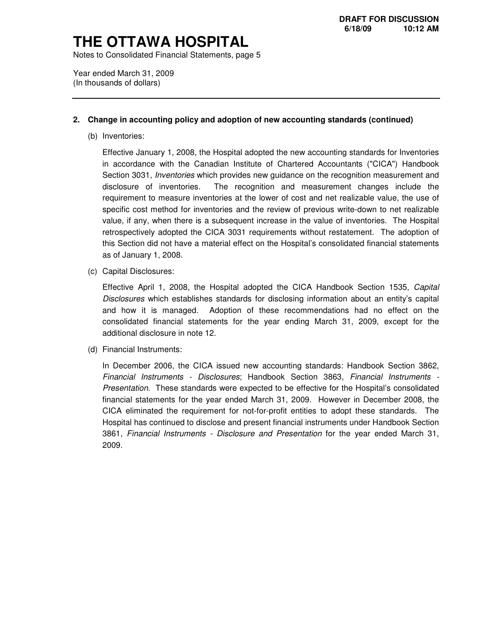Notes to Consolidated Financial Statements, page 5

 Year ended March 31, 2009 (In thousands of dollars)

#### **2. Change in accounting policy and adoption of new accounting standards (continued)**

(b) Inventories:

 Effective January 1, 2008, the Hospital adopted the new accounting standards for Inventories in accordance with the Canadian Institute of Chartered Accountants ("CICA") Handbook Section 3031, *Inventories* which provides new guidance on the recognition measurement and disclosure of inventories. requirement to measure inventories at the lower of cost and net realizable value, the use of specific cost method for inventories and the review of previous write-down to net realizable value, if any, when there is a subsequent increase in the value of inventories. The Hospital retrospectively adopted the CICA 3031 requirements without restatement. The adoption of this Section did not have a material effect on the Hospital's consolidated financial statements as of January 1, 2008. The recognition and measurement changes include the

(c) Capital Disclosures:

Effective April 1, 2008, the Hospital adopted the CICA Handbook Section 1535, Capital Disclosures which establishes standards for disclosing information about an entity's capital and how it is managed. Adoption of these recommendations had no effect on the consolidated financial statements for the year ending March 31, 2009, except for the additional disclosure in note 12.

(d) Financial Instruments:

 In December 2006, the CICA issued new accounting standards: Handbook Section 3862, Financial Instruments - Disclosures; Handbook Section 3863, Financial Instruments - Presentation. These standards were expected to be effective for the Hospital's consolidated financial statements for the year ended March 31, 2009. However in December 2008, the CICA eliminated the requirement for not-for-profit entities to adopt these standards. The Hospital has continued to disclose and present financial instruments under Handbook Section 3861, Financial Instruments - Disclosure and Presentation for the year ended March 31, 2009.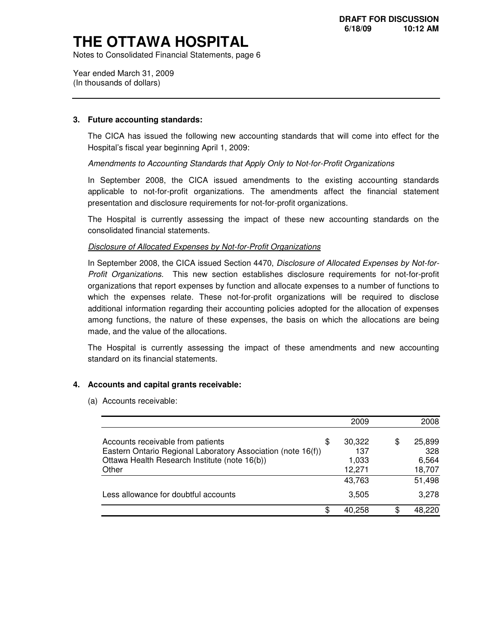Notes to Consolidated Financial Statements, page 6

 Year ended March 31, 2009 (In thousands of dollars)

#### **3. Future accounting standards:**

 The CICA has issued the following new accounting standards that will come into effect for the Hospital's fiscal year beginning April 1, 2009:

Amendments to Accounting Standards that Apply Only to Not-for-Profit Organizations

 In September 2008, the CICA issued amendments to the existing accounting standards applicable to not-for-profit organizations. The amendments affect the financial statement presentation and disclosure requirements for not-for-profit organizations.

 The Hospital is currently assessing the impact of these new accounting standards on the consolidated financial statements.

#### Disclosure of Allocated Expenses by Not-for-Profit Organizations

In September 2008, the CICA issued Section 4470, Disclosure of Allocated Expenses by Not-for- Profit Organizations. This new section establishes disclosure requirements for not-for-profit organizations that report expenses by function and allocate expenses to a number of functions to which the expenses relate. These not-for-profit organizations will be required to disclose additional information regarding their accounting policies adopted for the allocation of expenses among functions, the nature of these expenses, the basis on which the allocations are being made, and the value of the allocations.

 The Hospital is currently assessing the impact of these amendments and new accounting standard on its financial statements.

#### **4. Accounts and capital grants receivable:**

(a) Accounts receivable:

|                                                                                                                                                             |     | 2009                             |    | 2008                             |
|-------------------------------------------------------------------------------------------------------------------------------------------------------------|-----|----------------------------------|----|----------------------------------|
| Accounts receivable from patients<br>Eastern Ontario Regional Laboratory Association (note 16(f))<br>Ottawa Health Research Institute (note 16(b))<br>Other | \$. | 30,322<br>137<br>1,033<br>12,271 | S. | 25,899<br>328<br>6,564<br>18,707 |
|                                                                                                                                                             |     | 43,763                           |    | 51,498                           |
| Less allowance for doubtful accounts                                                                                                                        |     | 3,505                            |    | 3.278                            |
|                                                                                                                                                             | æ.  | 40.258                           |    | 48.220                           |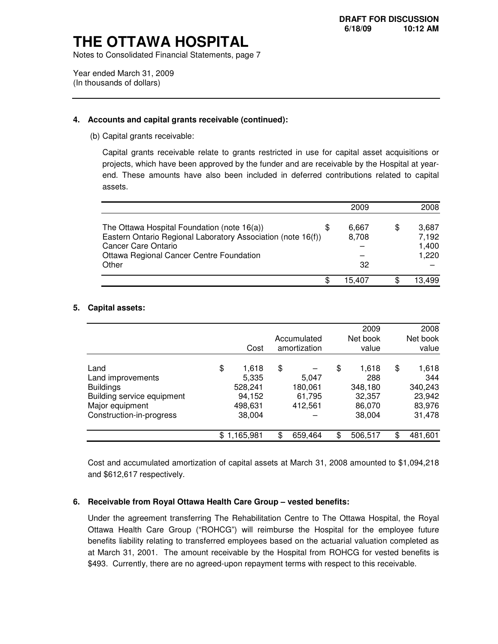Notes to Consolidated Financial Statements, page 7

 Year ended March 31, 2009 (In thousands of dollars)

#### **4. Accounts and capital grants receivable (continued):**

(b) Capital grants receivable:

 Capital grants receivable relate to grants restricted in use for capital asset acquisitions or projects, which have been approved by the funder and are receivable by the Hospital at year- end. These amounts have also been included in deferred contributions related to capital assets.

|                                                                                                                                                                                                |     | 2009                 | 2008                             |
|------------------------------------------------------------------------------------------------------------------------------------------------------------------------------------------------|-----|----------------------|----------------------------------|
| The Ottawa Hospital Foundation (note 16(a))<br>Eastern Ontario Regional Laboratory Association (note 16(f))<br><b>Cancer Care Ontario</b><br>Ottawa Regional Cancer Centre Foundation<br>Other | \$. | 6.667<br>8,708<br>32 | 3.687<br>7,192<br>1,400<br>1,220 |
|                                                                                                                                                                                                | æ.  | 15.407               | 13,499                           |

#### **5. Capital assets:**

|                            |                 |               | 2009          | 2008          |
|----------------------------|-----------------|---------------|---------------|---------------|
|                            |                 | Accumulated   | Net book      | Net book      |
|                            | Cost            | amortization  | value         | value         |
| Land                       | \$<br>1,618     | \$            | \$<br>1,618   | \$<br>1,618   |
| Land improvements          | 5,335           | 5,047         | 288           | 344           |
| <b>Buildings</b>           | 528,241         | 180,061       | 348,180       | 340,243       |
| Building service equipment | 94,152          | 61,795        | 32,357        | 23,942        |
| Major equipment            | 498,631         | 412,561       | 86,070        | 83,976        |
| Construction-in-progress   | 38,004          |               | 38,004        | 31,478        |
|                            | \$<br>1,165,981 | \$<br>659,464 | \$<br>506,517 | \$<br>481,601 |

 Cost and accumulated amortization of capital assets at March 31, 2008 amounted to \$1,094,218 and \$612,617 respectively.

#### **6. Receivable from Royal Ottawa Health Care Group – vested benefits:**

 Under the agreement transferring The Rehabilitation Centre to The Ottawa Hospital, the Royal Ottawa Health Care Group ("ROHCG") will reimburse the Hospital for the employee future benefits liability relating to transferred employees based on the actuarial valuation completed as at March 31, 2001. The amount receivable by the Hospital from ROHCG for vested benefits is \$493. Currently, there are no agreed-upon repayment terms with respect to this receivable.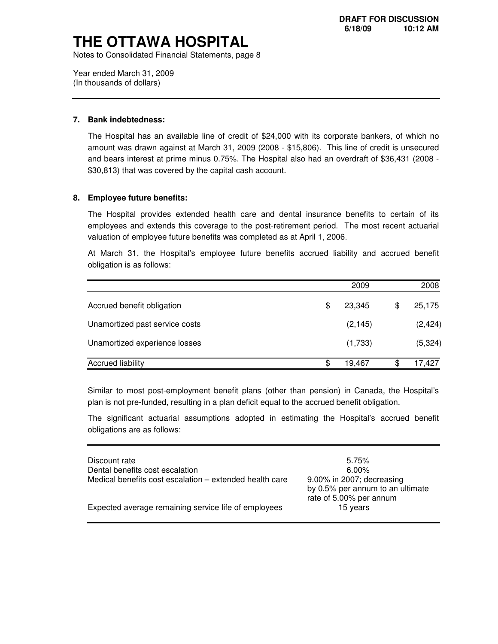Notes to Consolidated Financial Statements, page 8

 Year ended March 31, 2009 (In thousands of dollars)

#### **7. Bank indebtedness:**

 The Hospital has an available line of credit of \$24,000 with its corporate bankers, of which no amount was drawn against at March 31, 2009 (2008 - \$15,806). This line of credit is unsecured and bears interest at prime minus 0.75%. The Hospital also had an overdraft of \$36,431 (2008 - \$30,813) that was covered by the capital cash account.

#### **8. Employee future benefits:**

 The Hospital provides extended health care and dental insurance benefits to certain of its employees and extends this coverage to the post-retirement period. The most recent actuarial valuation of employee future benefits was completed as at April 1, 2006.

 At March 31, the Hospital's employee future benefits accrued liability and accrued benefit obligation is as follows:

|                                | 2009         |    | 2008     |
|--------------------------------|--------------|----|----------|
| Accrued benefit obligation     | \$<br>23,345 | \$ | 25,175   |
| Unamortized past service costs | (2, 145)     |    | (2, 424) |
| Unamortized experience losses  | (1,733)      |    | (5,324)  |
| <b>Accrued liability</b>       | \$<br>19,467 | S  | 17,427   |

 Similar to most post-employment benefit plans (other than pension) in Canada, the Hospital's plan is not pre-funded, resulting in a plan deficit equal to the accrued benefit obligation.

 The significant actuarial assumptions adopted in estimating the Hospital's accrued benefit obligations are as follows:

| Discount rate                                           | 5.75%                                                                                    |
|---------------------------------------------------------|------------------------------------------------------------------------------------------|
| Dental benefits cost escalation                         | 6.00%                                                                                    |
| Medical benefits cost escalation – extended health care | 9.00% in 2007; decreasing<br>by 0.5% per annum to an ultimate<br>rate of 5.00% per annum |
| Expected average remaining service life of employees    | 15 years                                                                                 |
|                                                         |                                                                                          |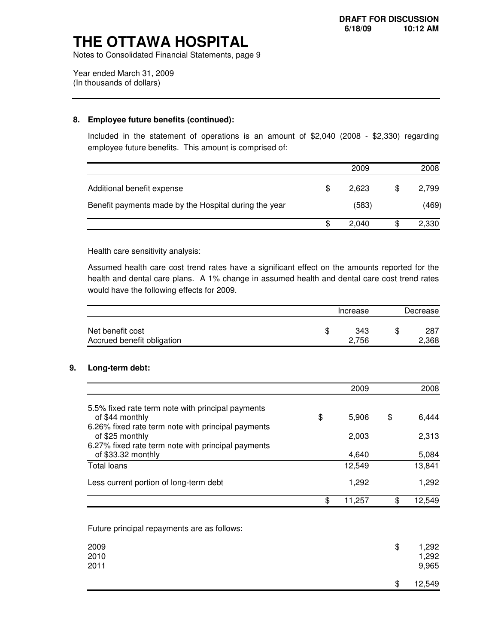Notes to Consolidated Financial Statements, page 9

 Year ended March 31, 2009 (In thousands of dollars)

#### **8. Employee future benefits (continued):**

 Included in the statement of operations is an amount of \$2,040 (2008 - \$2,330) regarding employee future benefits. This amount is comprised of:

|                                                       |     | 2009  |   | 2008  |
|-------------------------------------------------------|-----|-------|---|-------|
| Additional benefit expense                            | \$. | 2.623 | S | 2,799 |
| Benefit payments made by the Hospital during the year |     | (583) |   | (469) |
|                                                       | S   | 2.040 |   | 2,330 |

Health care sensitivity analysis:

 Assumed health care cost trend rates have a significant effect on the amounts reported for the health and dental care plans. A 1% change in assumed health and dental care cost trend rates would have the following effects for 2009.

|                                                | Increase     | Decrease |              |  |
|------------------------------------------------|--------------|----------|--------------|--|
| Net benefit cost<br>Accrued benefit obligation | 343<br>2.756 | \$       | 287<br>2,368 |  |

#### **9. Long-term debt:**

|                                                    | 2009         | 2008         |
|----------------------------------------------------|--------------|--------------|
| 5.5% fixed rate term note with principal payments  |              |              |
| of \$44 monthly                                    | \$<br>5.906  | \$<br>6,444  |
| 6.26% fixed rate term note with principal payments |              |              |
| of \$25 monthly                                    | 2,003        | 2,313        |
| 6.27% fixed rate term note with principal payments |              |              |
| of \$33.32 monthly                                 | 4.640        | 5,084        |
| Total loans                                        | 12,549       | 13,841       |
| Less current portion of long-term debt             | 1,292        | 1,292        |
|                                                    | \$<br>11,257 | \$<br>12.549 |

Future principal repayments are as follows:

| 2009<br>2010<br>2011 | \$<br>1,292<br>1,292<br>9,965 |
|----------------------|-------------------------------|
|                      | \$<br>12,549                  |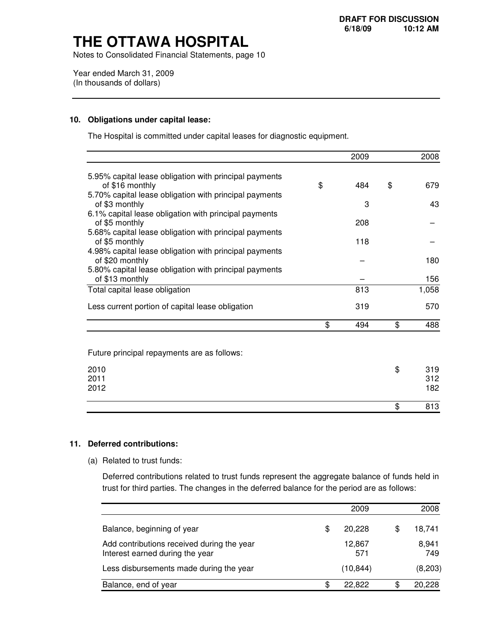Notes to Consolidated Financial Statements, page 10

 Year ended March 31, 2009 (In thousands of dollars)

#### **10. Obligations under capital lease:**

The Hospital is committed under capital leases for diagnostic equipment.

|                                                                          | 2009      | 2008      |
|--------------------------------------------------------------------------|-----------|-----------|
| 5.95% capital lease obligation with principal payments                   |           |           |
| of \$16 monthly                                                          | \$<br>484 | \$<br>679 |
| 5.70% capital lease obligation with principal payments                   |           |           |
| of \$3 monthly<br>6.1% capital lease obligation with principal payments  | 3         | 43        |
| of \$5 monthly                                                           | 208       |           |
| 5.68% capital lease obligation with principal payments                   |           |           |
| of \$5 monthly<br>4.98% capital lease obligation with principal payments | 118       |           |
| of \$20 monthly                                                          |           | 180       |
| 5.80% capital lease obligation with principal payments                   |           |           |
| of \$13 monthly                                                          |           | 156       |
| Total capital lease obligation                                           | 813       | 1,058     |
| Less current portion of capital lease obligation                         | 319       | 570       |
|                                                                          | \$<br>494 | \$<br>488 |
|                                                                          |           |           |
| Future principal repayments are as follows:                              |           |           |
| 2010                                                                     |           | \$<br>319 |
| 2011                                                                     |           | 312       |
| 2012                                                                     |           | 182       |
|                                                                          |           | \$<br>813 |

#### **11. Deferred contributions:**

(a) Related to trust funds:

 Deferred contributions related to trust funds represent the aggregate balance of funds held in trust for third parties. The changes in the deferred balance for the period are as follows:

|                                                                               |    | 2009          |     | 2008         |
|-------------------------------------------------------------------------------|----|---------------|-----|--------------|
| Balance, beginning of year                                                    | S  | 20,228        | S   | 18,741       |
| Add contributions received during the year<br>Interest earned during the year |    | 12,867<br>571 |     | 8,941<br>749 |
| Less disbursements made during the year                                       |    | (10, 844)     |     | (8,203)      |
| Balance, end of year                                                          | æ. | 22,822        | \$. | 20,228       |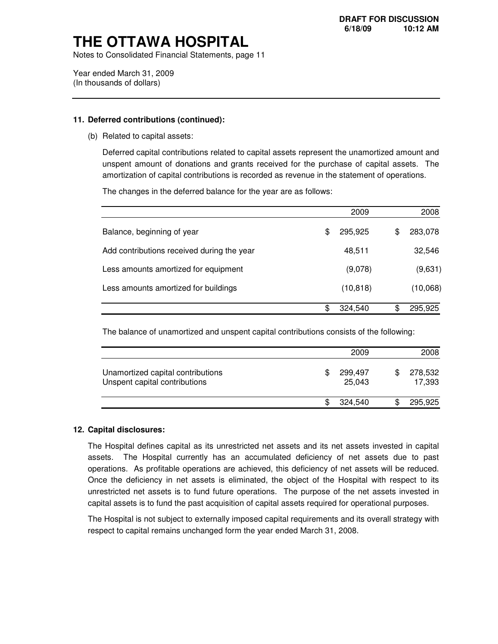Notes to Consolidated Financial Statements, page 11

 Year ended March 31, 2009 (In thousands of dollars)

#### **11. Deferred contributions (continued):**

(b) Related to capital assets:

 Deferred capital contributions related to capital assets represent the unamortized amount and unspent amount of donations and grants received for the purchase of capital assets. The amortization of capital contributions is recorded as revenue in the statement of operations.

The changes in the deferred balance for the year are as follows:

|                                            | 2009          |    | 2008     |
|--------------------------------------------|---------------|----|----------|
| Balance, beginning of year                 | \$<br>295,925 | \$ | 283,078  |
| Add contributions received during the year | 48,511        |    | 32,546   |
| Less amounts amortized for equipment       | (9,078)       |    | (9,631)  |
| Less amounts amortized for buildings       | (10, 818)     |    | (10,068) |
|                                            | \$<br>324,540 | ß. | 295,925  |

The balance of unamortized and unspent capital contributions consists of the following:

|                                                                    | 2009                    | 2008              |
|--------------------------------------------------------------------|-------------------------|-------------------|
| Unamortized capital contributions<br>Unspent capital contributions | \$<br>299,497<br>25,043 | 278,532<br>17,393 |
|                                                                    | 324.540                 | 295,925           |

#### **12. Capital disclosures:**

 The Hospital defines capital as its unrestricted net assets and its net assets invested in capital assets. The Hospital currently has an accumulated deficiency of net assets due to past operations. As profitable operations are achieved, this deficiency of net assets will be reduced. Once the deficiency in net assets is eliminated, the object of the Hospital with respect to its unrestricted net assets is to fund future operations. The purpose of the net assets invested in capital assets is to fund the past acquisition of capital assets required for operational purposes.

 The Hospital is not subject to externally imposed capital requirements and its overall strategy with respect to capital remains unchanged form the year ended March 31, 2008.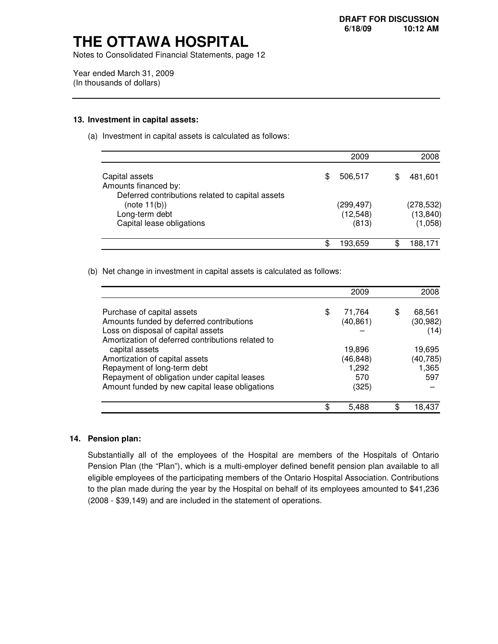Notes to Consolidated Financial Statements, page 12

 Year ended March 31, 2009 (In thousands of dollars)

#### **13. Investment in capital assets:**

(a) Investment in capital assets is calculated as follows:

|                                                                  |   | 2009               | 2008                 |
|------------------------------------------------------------------|---|--------------------|----------------------|
| Capital assets<br>Amounts financed by:                           | S | 506,517            | 481,601              |
| Deferred contributions related to capital assets<br>(note 11(b)) |   | (299,497)          | (278, 532)           |
| Long-term debt<br>Capital lease obligations                      |   | (12, 548)<br>(813) | (13, 840)<br>(1,058) |
|                                                                  |   |                    |                      |
|                                                                  |   | 193,659            | 188,171              |

(b) Net change in investment in capital assets is calculated as follows:

|                                                   |     | 2009      |   | 2008      |
|---------------------------------------------------|-----|-----------|---|-----------|
| Purchase of capital assets                        | \$. | 71,764    | S | 68,561    |
| Amounts funded by deferred contributions          |     | (40, 861) |   | (30, 982) |
| Loss on disposal of capital assets                |     |           |   | (14)      |
| Amortization of deferred contributions related to |     |           |   |           |
| capital assets                                    |     | 19,896    |   | 19,695    |
| Amortization of capital assets                    |     | (46,848)  |   | (40, 785) |
| Repayment of long-term debt                       |     | 1,292     |   | 1,365     |
| Repayment of obligation under capital leases      |     | 570       |   | 597       |
| Amount funded by new capital lease obligations    |     | (325)     |   |           |
|                                                   |     | 5,488     | S | 18.437    |

#### **14. Pension plan:**

 Substantially all of the employees of the Hospital are members of the Hospitals of Ontario Pension Plan (the "Plan"), which is a multi-employer defined benefit pension plan available to all eligible employees of the participating members of the Ontario Hospital Association. Contributions to the plan made during the year by the Hospital on behalf of its employees amounted to \$41,236 (2008 - \$39,149) and are included in the statement of operations.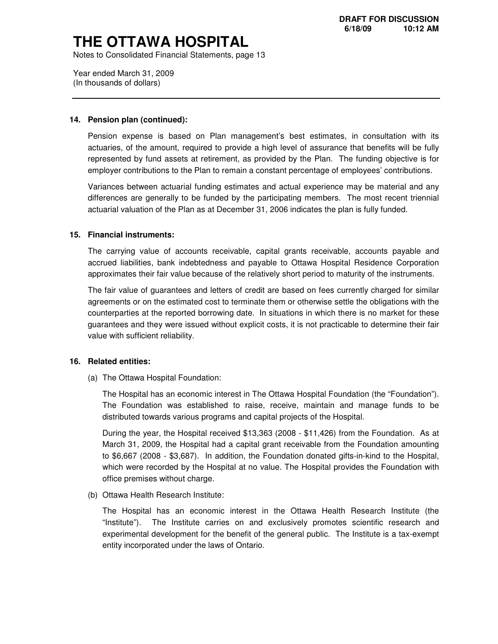Notes to Consolidated Financial Statements, page 13

 Year ended March 31, 2009 (In thousands of dollars)

#### **14. Pension plan (continued):**

 Pension expense is based on Plan management's best estimates, in consultation with its actuaries, of the amount, required to provide a high level of assurance that benefits will be fully represented by fund assets at retirement, as provided by the Plan. The funding objective is for employer contributions to the Plan to remain a constant percentage of employees' contributions.

 Variances between actuarial funding estimates and actual experience may be material and any differences are generally to be funded by the participating members. The most recent triennial actuarial valuation of the Plan as at December 31, 2006 indicates the plan is fully funded.

#### **15. Financial instruments:**

 The carrying value of accounts receivable, capital grants receivable, accounts payable and accrued liabilities, bank indebtedness and payable to Ottawa Hospital Residence Corporation approximates their fair value because of the relatively short period to maturity of the instruments.

 The fair value of guarantees and letters of credit are based on fees currently charged for similar agreements or on the estimated cost to terminate them or otherwise settle the obligations with the counterparties at the reported borrowing date. In situations in which there is no market for these guarantees and they were issued without explicit costs, it is not practicable to determine their fair value with sufficient reliability.

#### **16. Related entities:**

(a) The Ottawa Hospital Foundation:

 The Hospital has an economic interest in The Ottawa Hospital Foundation (the "Foundation"). The Foundation was established to raise, receive, maintain and manage funds to be distributed towards various programs and capital projects of the Hospital.

 During the year, the Hospital received \$13,363 (2008 - \$11,426) from the Foundation. As at March 31, 2009, the Hospital had a capital grant receivable from the Foundation amounting to \$6,667 (2008 - \$3,687). In addition, the Foundation donated gifts-in-kind to the Hospital, which were recorded by the Hospital at no value. The Hospital provides the Foundation with office premises without charge.

(b) Ottawa Health Research Institute:

 The Hospital has an economic interest in the Ottawa Health Research Institute (the "Institute"). experimental development for the benefit of the general public. The Institute is a tax-exempt entity incorporated under the laws of Ontario. The Institute carries on and exclusively promotes scientific research and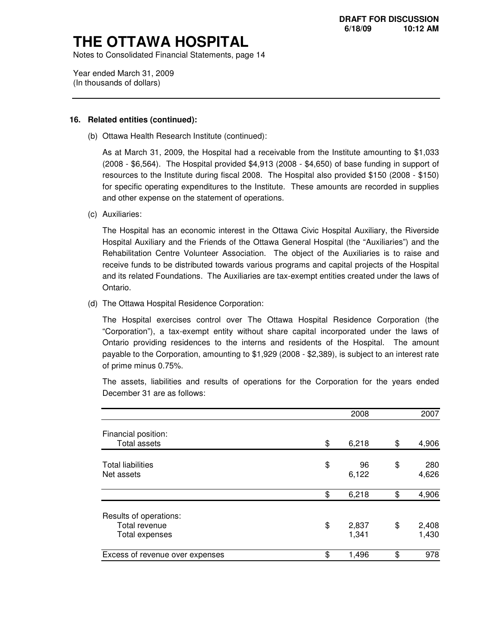Notes to Consolidated Financial Statements, page 14

 Year ended March 31, 2009 (In thousands of dollars)

#### **16. Related entities (continued):**

(b) Ottawa Health Research Institute (continued):

 As at March 31, 2009, the Hospital had a receivable from the Institute amounting to \$1,033 (2008 - \$6,564). The Hospital provided \$4,913 (2008 - \$4,650) of base funding in support of resources to the Institute during fiscal 2008. The Hospital also provided \$150 (2008 - \$150) for specific operating expenditures to the Institute. These amounts are recorded in supplies and other expense on the statement of operations.

(c) Auxiliaries:

 The Hospital has an economic interest in the Ottawa Civic Hospital Auxiliary, the Riverside Hospital Auxiliary and the Friends of the Ottawa General Hospital (the "Auxiliaries") and the Rehabilitation Centre Volunteer Association. The object of the Auxiliaries is to raise and receive funds to be distributed towards various programs and capital projects of the Hospital and its related Foundations. The Auxiliaries are tax-exempt entities created under the laws of Ontario.

(d) The Ottawa Hospital Residence Corporation:

 The Hospital exercises control over The Ottawa Hospital Residence Corporation (the "Corporation"), a tax-exempt entity without share capital incorporated under the laws of Ontario providing residences to the interns and residents of the Hospital. The amount payable to the Corporation, amounting to \$1,929 (2008 - \$2,389), is subject to an interest rate of prime minus 0.75%.

 The assets, liabilities and results of operations for the Corporation for the years ended December 31 are as follows:

|                                 | 2008        | 2007        |
|---------------------------------|-------------|-------------|
| Financial position:             |             |             |
| <b>Total assets</b>             | \$<br>6,218 | \$<br>4,906 |
|                                 |             |             |
| <b>Total liabilities</b>        | \$<br>96    | \$<br>280   |
| Net assets                      | 6,122       | 4,626       |
|                                 | \$<br>6,218 | \$<br>4,906 |
|                                 |             |             |
| Results of operations:          |             |             |
| Total revenue                   | \$<br>2,837 | \$<br>2,408 |
| Total expenses                  | 1,341       | 1,430       |
| Excess of revenue over expenses | \$<br>1,496 | \$<br>978   |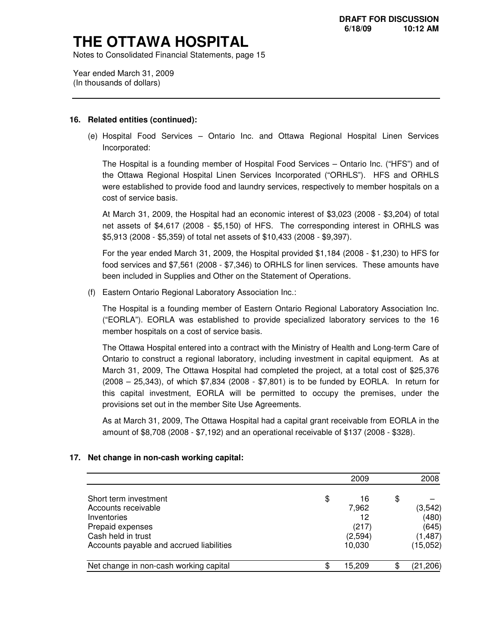Notes to Consolidated Financial Statements, page 15

 Year ended March 31, 2009 (In thousands of dollars)

#### **16. Related entities (continued):**

 (e) Hospital Food Services – Ontario Inc. and Ottawa Regional Hospital Linen Services Incorporated:

 The Hospital is a founding member of Hospital Food Services – Ontario Inc. ("HFS") and of the Ottawa Regional Hospital Linen Services Incorporated ("ORHLS"). HFS and ORHLS were established to provide food and laundry services, respectively to member hospitals on a cost of service basis.

 At March 31, 2009, the Hospital had an economic interest of \$3,023 (2008 - \$3,204) of total net assets of \$4,617 (2008 - \$5,150) of HFS. The corresponding interest in ORHLS was \$5,913 (2008 - \$5,359) of total net assets of \$10,433 (2008 - \$9,397).

 For the year ended March 31, 2009, the Hospital provided \$1,184 (2008 - \$1,230) to HFS for food services and \$7,561 (2008 - \$7,346) to ORHLS for linen services. These amounts have been included in Supplies and Other on the Statement of Operations.

(f) Eastern Ontario Regional Laboratory Association Inc.:

 The Hospital is a founding member of Eastern Ontario Regional Laboratory Association Inc. ("EORLA"). EORLA was established to provide specialized laboratory services to the 16 member hospitals on a cost of service basis.

 The Ottawa Hospital entered into a contract with the Ministry of Health and Long-term Care of Ontario to construct a regional laboratory, including investment in capital equipment. As at March 31, 2009, The Ottawa Hospital had completed the project, at a total cost of \$25,376 (2008 – 25,343), of which \$7,834 (2008 - \$7,801) is to be funded by EORLA. In return for this capital investment, EORLA will be permitted to occupy the premises, under the provisions set out in the member Site Use Agreements.

 As at March 31, 2009, The Ottawa Hospital had a capital grant receivable from EORLA in the amount of \$8,708 (2008 - \$7,192) and an operational receivable of \$137 (2008 - \$328).

### **17. Net change in non-cash working capital:**

|                                          | 2009         | 2008      |
|------------------------------------------|--------------|-----------|
| Short term investment                    | \$<br>16     | \$        |
| Accounts receivable                      | 7,962        | (3, 542)  |
| Inventories                              | 12           | (480)     |
| Prepaid expenses                         | (217)        | (645)     |
| Cash held in trust                       | (2,594)      | (1, 487)  |
| Accounts payable and accrued liabilities | 10,030       | (15,052)  |
| Net change in non-cash working capital   | \$<br>15.209 | (21, 206) |